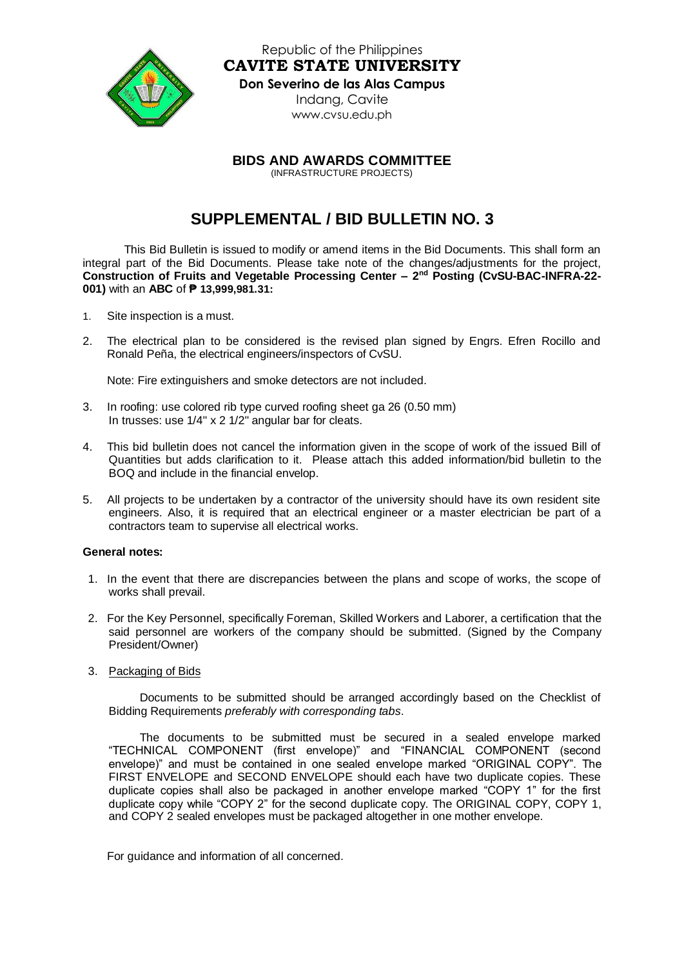

Republic of the Philippines **CAVITE STATE UNIVERSITY Don Severino de las Alas Campus** Indang, Cavite [www.cvsu.edu.ph](http://www.cvsu.edu.ph/)

**BIDS AND AWARDS COMMITTEE**

(INFRASTRUCTURE PROJECTS)

## **SUPPLEMENTAL / BID BULLETIN NO. 3**

This Bid Bulletin is issued to modify or amend items in the Bid Documents. This shall form an integral part of the Bid Documents. Please take note of the changes/adjustments for the project, **Construction of Fruits and Vegetable Processing Center – 2 nd Posting (CvSU-BAC-INFRA-22- 001)** with an **ABC** of **₱ 13,999,981.31:**

- 1. Site inspection is a must.
- 2. The electrical plan to be considered is the revised plan signed by Engrs. Efren Rocillo and Ronald Peña, the electrical engineers/inspectors of CvSU.

Note: Fire extinguishers and smoke detectors are not included.

- 3. In roofing: use colored rib type curved roofing sheet ga 26 (0.50 mm) In trusses: use 1/4" x 2 1/2" angular bar for cleats.
- 4. This bid bulletin does not cancel the information given in the scope of work of the issued Bill of Quantities but adds clarification to it. Please attach this added information/bid bulletin to the BOQ and include in the financial envelop.
- 5. All projects to be undertaken by a contractor of the university should have its own resident site engineers. Also, it is required that an electrical engineer or a master electrician be part of a contractors team to supervise all electrical works.

## **General notes:**

- 1. In the event that there are discrepancies between the plans and scope of works, the scope of works shall prevail.
- 2. For the Key Personnel, specifically Foreman, Skilled Workers and Laborer, a certification that the said personnel are workers of the company should be submitted. (Signed by the Company President/Owner)
- 3. Packaging of Bids

Documents to be submitted should be arranged accordingly based on the Checklist of Bidding Requirements *preferably with corresponding tabs*.

The documents to be submitted must be secured in a sealed envelope marked "TECHNICAL COMPONENT (first envelope)" and "FINANCIAL COMPONENT (second envelope)" and must be contained in one sealed envelope marked "ORIGINAL COPY". The FIRST ENVELOPE and SECOND ENVELOPE should each have two duplicate copies. These duplicate copies shall also be packaged in another envelope marked "COPY 1" for the first duplicate copy while "COPY 2" for the second duplicate copy. The ORIGINAL COPY, COPY 1, and COPY 2 sealed envelopes must be packaged altogether in one mother envelope.

For guidance and information of all concerned.